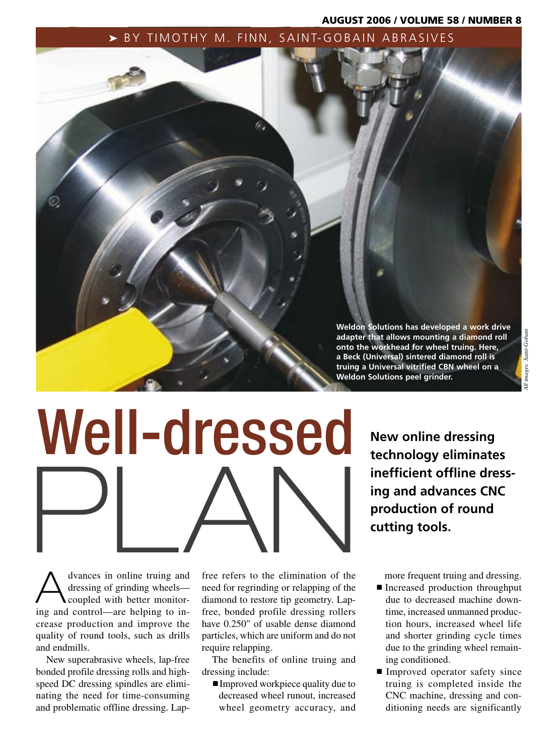# AUGUST 2006 / VOLUME 58 / NUMBER 8

# ▶ BY TIMOTHY M. FINN, SAINT-GOBAIN ABRASIVES



# Well-dressed PLAN

**New online dressing technology eliminates inefficient offline dressing and advances CNC production of round cutting tools.**

dvances in online truing and<br>dressing of grinding wheels—<br>coupled with better monitordressing of grinding wheels coupled with better monitoring and control—are helping to increase production and improve the quality of round tools, such as drills and endmills.

New superabrasive wheels, lap-free bonded profile dressing rolls and highspeed DC dressing spindles are eliminating the need for time-consuming and problematic offline dressing. Lapfree refers to the elimination of the need for regrinding or relapping of the diamond to restore tip geometry. Lapfree, bonded profile dressing rollers have 0.250" of usable dense diamond particles, which are uniform and do not require relapping.

The benefits of online truing and dressing include:

■ Improved workpiece quality due to decreased wheel runout, increased wheel geometry accuracy, and more frequent truing and dressing.

- Increased production throughput due to decreased machine downtime, increased unmanned production hours, increased wheel life and shorter grinding cycle times due to the grinding wheel remaining conditioned.
- Improved operator safety since truing is completed inside the CNC machine, dressing and conditioning needs are significantly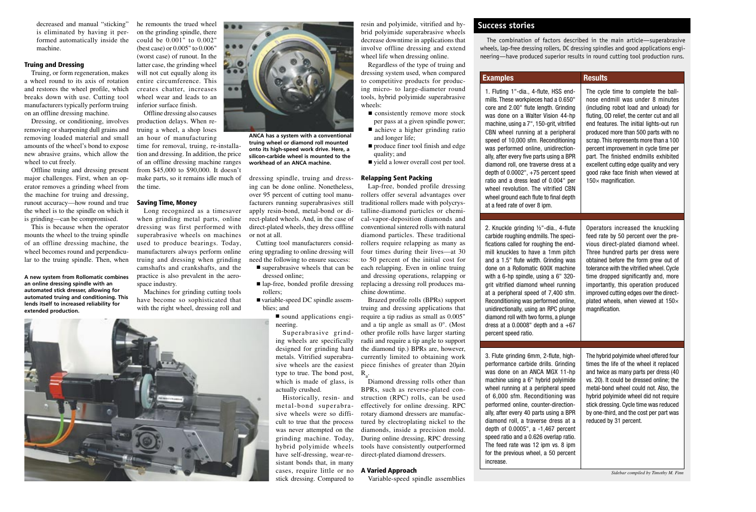decreased and manual "sticking" is eliminated by having it performed automatically inside the machine.

# Truing and Dressing

Truing, or form regeneration, makes a wheel round to its axis of rotation and restores the wheel profile, which breaks down with use. Cutting tool manufacturers typically perform truing on an offline dressing machine.

Dressing, or conditioning, involves removing or sharpening dull grains and removing loaded material and small amounts of the wheel's bond to expose new abrasive grains, which allow the wheel to cut freely.

Offline truing and dressing present major challenges. First, when an operator removes a grinding wheel from the machine for truing and dressing, runout accuracy—how round and true the wheel is to the spindle on which it is grinding—can be compromised.

This is because when the operator mounts the wheel to the truing spindle of an offline dressing machine, the wheel becomes round and perpendicular to the truing spindle. Then, when

**A new system from Rollomatic combines an online dressing spindle with an automated stick dresser, allowing for automated truing and conditioning. This lends itself to increased reliability for extended production.**

he remounts the trued wheel on the grinding spindle, there could be 0.001" to 0.002" (best case) or 0.005" to 0.006" (worst case) of runout. In the latter case, the grinding wheel will not cut equally along its entire circumference. This creates chatter, increases wheel wear and leads to an inferior surface finish.

Offline dressing also causes production delays. When retruing a wheel, a shop loses an hour of manufacturing time for removal, truing, re-installation and dressing. In addition, the price of an offline dressing machine ranges from \$45,000 to \$90,000. It doesn't make parts, so it remains idle much of the time.

# Saving Time, Money

Long recognized as a timesaver when grinding metal parts, online dressing was first performed with superabrasive wheels on machines used to produce bearings. Today, manufacturers always perform online truing and dressing when grinding camshafts and crankshafts, and the practice is also prevalent in the aerospace industry.

Machines for grinding cutting tools have become so sophisticated that with the right wheel, dressing roll and





**ANCA has a system with a conventional truing wheel or diamond roll mounted onto its high-speed work drive. Here, a silicon-carbide wheel is mounted to the workhead of an ANCA machine.** 

dressing spindle, truing and dressing can be done online. Nonetheless, over 95 percent of cutting tool manufacturers running superabrasives still apply resin-bond, metal-bond or direct-plated wheels. And, in the case of direct-plated wheels, they dress offline or not at all.

Cutting tool manufacturers considering upgrading to online dressing will need the following to ensure success:

- superabrasive wheels that can be dressed online;
- rollers;

■ variable-speed DC spindle assemblies; and

■ sound applications engineering.

Superabrasive grinding wheels are specifically designed for grinding hard metals. Vitrified superabrasive wheels are the easiest type to true. The bond post, which is made of glass, is actually crushed.

cases, require little or no A Varied Approach Historically, resin- and metal-bond superabrasive wheels were so difficult to true that the process grinding machine. Today, have self-dressing, wear-resistant bonds that, in many stick dressing. Compared to

resin and polyimide, vitrified and hybrid polyimide superabrasive wheels decrease downtime in applications that involve offline dressing and extend wheel life when dressing online.

Regardless of the type of truing and dressing system used, when compared to competitive products for producing micro- to large-diameter round tools, hybrid polyimide superabrasive wheels:

- consistently remove more stock per pass at a given spindle power;
- achieve a higher grinding ratio and longer life;
- produce finer tool finish and edge quality; and
- yield a lower overall cost per tool.

## Relapping Sent Packing

Lap-free, bonded profile dressing rollers offer several advantages over traditional rollers made with polycrystalline-diamond particles or chemical-vapor-deposition diamonds and conventional sintered rolls with natural diamond particles. These traditional rollers require relapping as many as four times during their lives—at 30 to 50 percent of the initial cost for each relapping. Even in online truing and dressing operations, relapping or ■ lap-free, bonded profile dressing replacing a dressing roll produces machine downtime.

Brazed profile rolls (BPRs) support truing and dressing applications that require a tip radius as small as 0.005" and a tip angle as small as 0°. (Most other profile rolls have larger starting radii and require a tip angle to support the diamond tip.) BPRs are, however, currently limited to obtaining work piece finishes of greater than 20µin  $R_{\alpha}$ .

Diamond dressing rolls other than BPRs, such as reverse-plated construction (RPC) rolls, can be used effectively for online dressing. RPC rotary diamond dressers are manufactured by electroplating nickel to the was never attempted on the diamonds, inside a precision mold. During online dressing, RPC dressing hybrid polyimide wheels tools have consistently outperformed direct-plated diamond dressers.

Variable-speed spindle assemblies

# **Success stories**

The combination of factors described in the main article—superabrasive wheels, lap-free dressing rollers, DC dressing spindles and good applications engineering—have produced superior results in round cutting tool production runs.

# **Examples Results**

1. Fluting 1"-dia., 4-flute, HSS endmills. These workpieces had a 0.650" core and 2.00" flute length. Grinding was done on a Walter Vision 44-hp machine, using a 7", 150-grit, vitrified CBN wheel running at a peripheral speed of 10,000 sfm. Reconditioning was performed online, unidirectionally, after every five parts using a BPR diamond roll, one traverse dress at a depth of  $0.0002$ ",  $+75$  percent speed ratio and a dress lead of 0.004" per wheel revolution. The vitrified CBN wheel ground each flute to final depth at a feed rate of over 8 ipm.

2. Knuckle grinding ½"-dia., 4-flute carbide roughing endmills. The specifications called for roughing the endmill knuckles to have a 1mm pitch and a 1.5" flute width. Grinding was done on a Rollomatic 600X machine with a 6-hp spindle, using a 6" 320 grit vitrified diamond wheel running at a peripheral speed of 7,400 sfm. Reconditioning was performed online, unidirectionally, using an RPC plunge diamond roll with two forms, a plunge dress at a  $0.0008$ " depth and a  $+67$ percent speed ratio.

3. Flute grinding 6mm, 2-flute, highperformance carbide drills. Grinding was done on an ANCA MGX 11-hp machine using a 6" hybrid polyimide wheel running at a peripheral speed of 6,000 sfm. Reconditioning was performed online, counter-directionally, after every 40 parts using a BPR diamond roll, a traverse dress at a depth of 0.0005", a -1,467 percent speed ratio and a 0.626 overlap ratio. The feed rate was 12 ipm vs. 8 ipm for the previous wheel, a 50 percent increase.

The cycle time to complete the ballnose endmill was under 8 minutes (including robot load and unload) for fluting, OD relief, the center cut and all end features. The initial lights-out run produced more than 500 parts with no scrap. This represents more than a 100 percent improvement in cycle time per part. The finished endmills exhibited excellent cutting edge quality and very good rake face finish when viewed at 150× magnification.

Operators increased the knuckling feed rate by 50 percent over the previous direct-plated diamond wheel. Three hundred parts per dress were obtained before the form grew out of

tolerance with the vitrified wheel. Cycle time dropped significantly and, more importantly, this operation produced improved cutting edges over the directplated wheels, when viewed at 150× magnification. The hybrid polyimide wheel offered four times the life of the wheel it replaced and twice as many parts per dress (40 vs. 20). It could be dressed online; the

metal-bond wheel could not. Also, the hybrid polyimide wheel did not require stick dressing. Cycle time was reduced by one-third, and the cost per part was reduced by 31 percent.